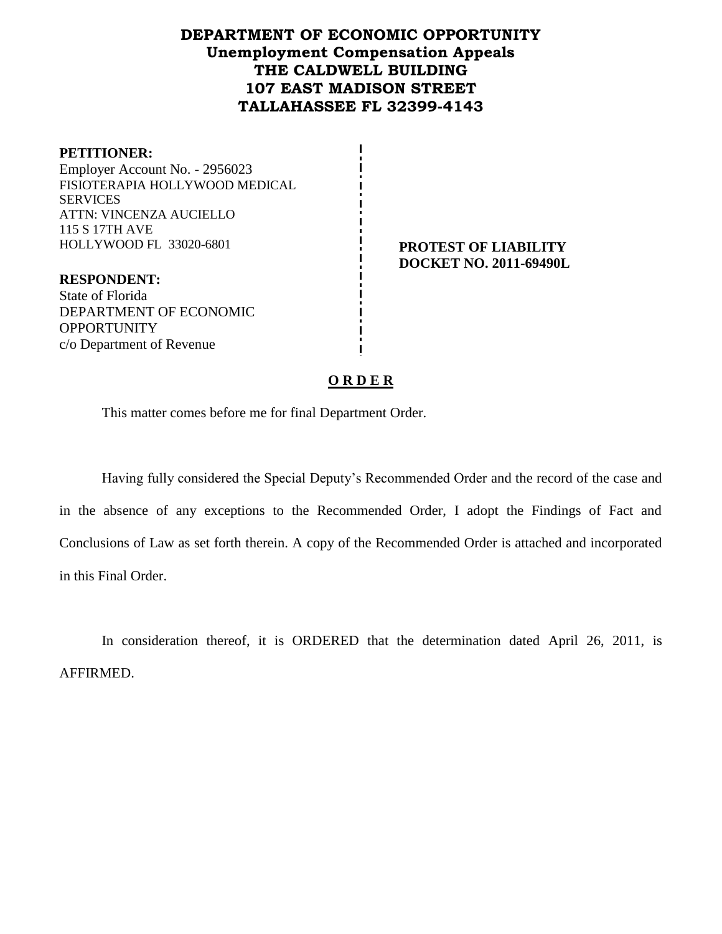## **DEPARTMENT OF ECONOMIC OPPORTUNITY Unemployment Compensation Appeals THE CALDWELL BUILDING 107 EAST MADISON STREET TALLAHASSEE FL 32399-4143**

| <b>PETITIONER:</b>             |
|--------------------------------|
| Employer Account No. - 2956023 |
| FISIOTERAPIA HOLLYWOOD MEDICAL |
| <b>SERVICES</b>                |
| ATTN: VINCENZA AUCIELLO        |
| 115 S 17TH AVE                 |
| HOLLYWOOD FL 33020-6801        |
|                                |

**PROTEST OF LIABILITY DOCKET NO. 2011-69490L**

**RESPONDENT:** State of Florida DEPARTMENT OF ECONOMIC **OPPORTUNITY** c/o Department of Revenue

#### **O R D E R**

This matter comes before me for final Department Order.

Having fully considered the Special Deputy's Recommended Order and the record of the case and in the absence of any exceptions to the Recommended Order, I adopt the Findings of Fact and Conclusions of Law as set forth therein. A copy of the Recommended Order is attached and incorporated in this Final Order.

In consideration thereof, it is ORDERED that the determination dated April 26, 2011, is AFFIRMED.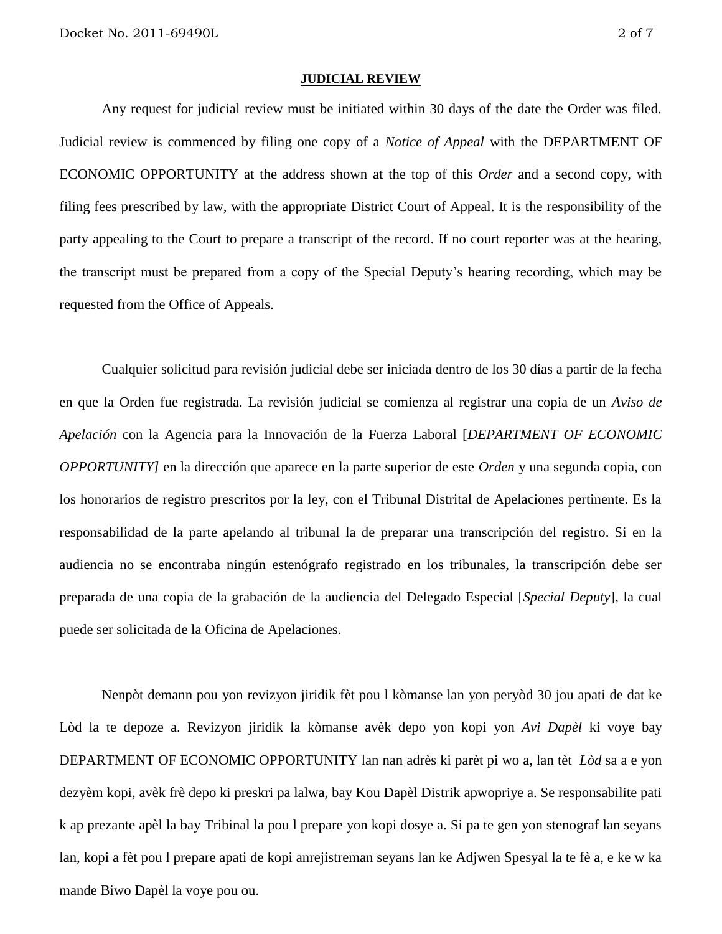#### **JUDICIAL REVIEW**

Any request for judicial review must be initiated within 30 days of the date the Order was filed. Judicial review is commenced by filing one copy of a *Notice of Appeal* with the DEPARTMENT OF ECONOMIC OPPORTUNITY at the address shown at the top of this *Order* and a second copy, with filing fees prescribed by law, with the appropriate District Court of Appeal. It is the responsibility of the party appealing to the Court to prepare a transcript of the record. If no court reporter was at the hearing, the transcript must be prepared from a copy of the Special Deputy's hearing recording, which may be requested from the Office of Appeals.

Cualquier solicitud para revisión judicial debe ser iniciada dentro de los 30 días a partir de la fecha en que la Orden fue registrada. La revisión judicial se comienza al registrar una copia de un *Aviso de Apelación* con la Agencia para la Innovación de la Fuerza Laboral [*DEPARTMENT OF ECONOMIC OPPORTUNITY]* en la dirección que aparece en la parte superior de este *Orden* y una segunda copia, con los honorarios de registro prescritos por la ley, con el Tribunal Distrital de Apelaciones pertinente. Es la responsabilidad de la parte apelando al tribunal la de preparar una transcripción del registro. Si en la audiencia no se encontraba ningún estenógrafo registrado en los tribunales, la transcripción debe ser preparada de una copia de la grabación de la audiencia del Delegado Especial [*Special Deputy*], la cual puede ser solicitada de la Oficina de Apelaciones.

Nenpòt demann pou yon revizyon jiridik fèt pou l kòmanse lan yon peryòd 30 jou apati de dat ke Lòd la te depoze a. Revizyon jiridik la kòmanse avèk depo yon kopi yon *Avi Dapèl* ki voye bay DEPARTMENT OF ECONOMIC OPPORTUNITY lan nan adrès ki parèt pi wo a, lan tèt *Lòd* sa a e yon dezyèm kopi, avèk frè depo ki preskri pa lalwa, bay Kou Dapèl Distrik apwopriye a. Se responsabilite pati k ap prezante apèl la bay Tribinal la pou l prepare yon kopi dosye a. Si pa te gen yon stenograf lan seyans lan, kopi a fèt pou l prepare apati de kopi anrejistreman seyans lan ke Adjwen Spesyal la te fè a, e ke w ka mande Biwo Dapèl la voye pou ou.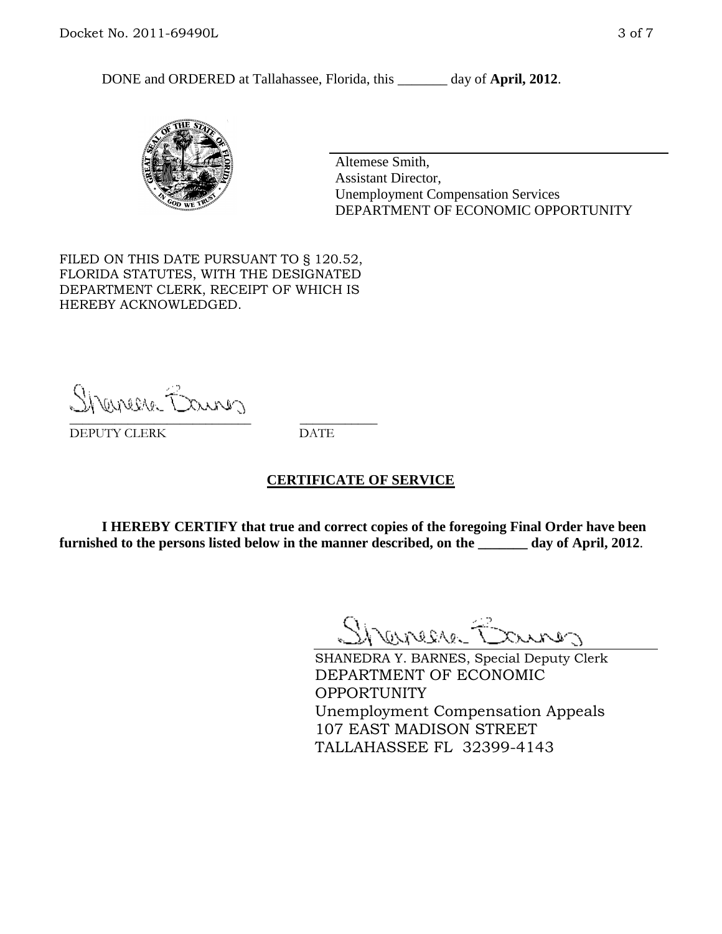DONE and ORDERED at Tallahassee, Florida, this day of **April, 2012**.



Altemese Smith, Assistant Director, Unemployment Compensation Services DEPARTMENT OF ECONOMIC OPPORTUNITY

FILED ON THIS DATE PURSUANT TO § 120.52, FLORIDA STATUTES, WITH THE DESIGNATED DEPARTMENT CLERK, RECEIPT OF WHICH IS HEREBY ACKNOWLEDGED.

Shenesse Baurer \_\_\_\_\_\_\_\_\_\_\_\_\_\_\_\_\_\_\_\_\_\_\_\_\_\_\_\_ \_\_\_\_\_\_\_\_\_\_\_\_

DEPUTY CLERK DATE

#### **CERTIFICATE OF SERVICE**

**I HEREBY CERTIFY that true and correct copies of the foregoing Final Order have been furnished to the persons listed below in the manner described, on the \_\_\_\_\_\_\_ day of April, 2012**.

Shaner Barnes

SHANEDRA Y. BARNES, Special Deputy Clerk DEPARTMENT OF ECONOMIC OPPORTUNITY Unemployment Compensation Appeals 107 EAST MADISON STREET TALLAHASSEE FL 32399-4143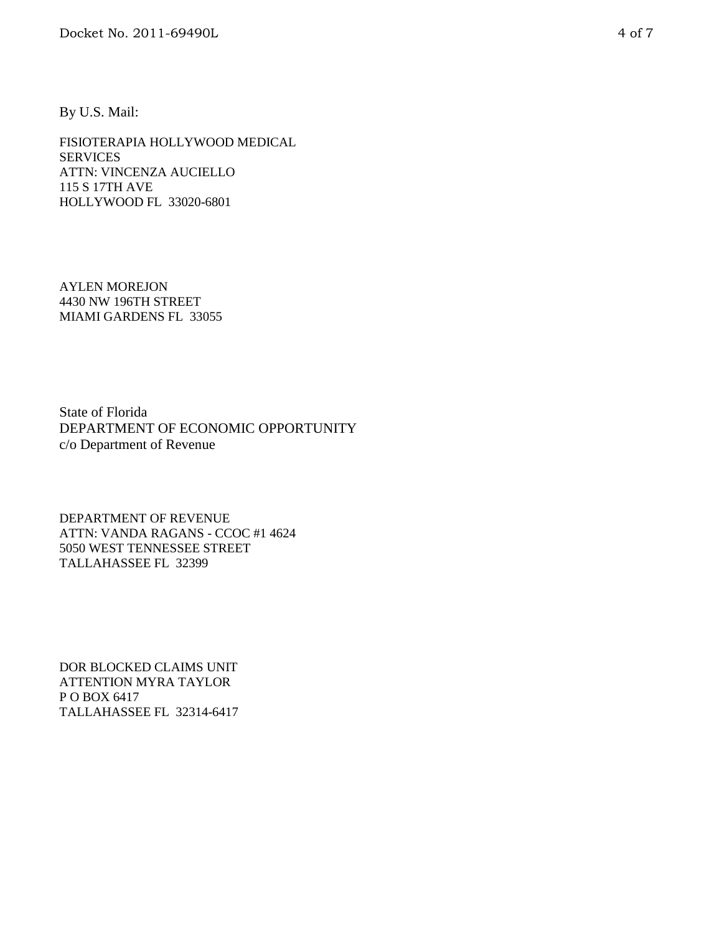By U.S. Mail:

FISIOTERAPIA HOLLYWOOD MEDICAL SERVICES ATTN: VINCENZA AUCIELLO 115 S 17TH AVE HOLLYWOOD FL 33020-6801

AYLEN MOREJON 4430 NW 196TH STREET MIAMI GARDENS FL 33055

State of Florida DEPARTMENT OF ECONOMIC OPPORTUNITY c/o Department of Revenue

DEPARTMENT OF REVENUE ATTN: VANDA RAGANS - CCOC #1 4624 5050 WEST TENNESSEE STREET TALLAHASSEE FL 32399

DOR BLOCKED CLAIMS UNIT ATTENTION MYRA TAYLOR P O BOX 6417 TALLAHASSEE FL 32314-6417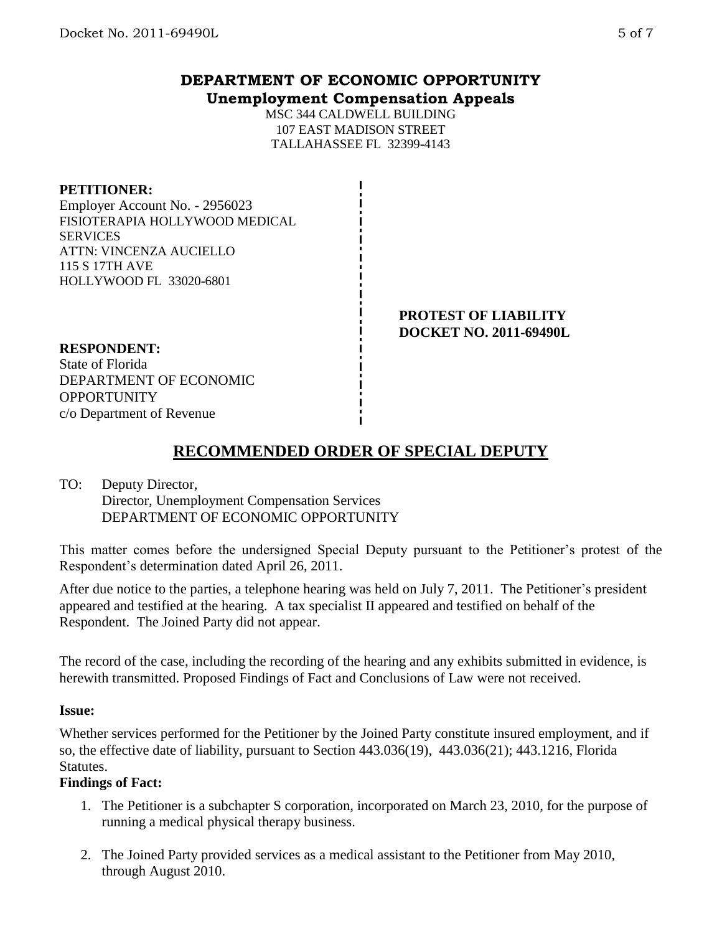## **DEPARTMENT OF ECONOMIC OPPORTUNITY Unemployment Compensation Appeals**

MSC 344 CALDWELL BUILDING 107 EAST MADISON STREET TALLAHASSEE FL 32399-4143

#### **PETITIONER:**

Employer Account No. - 2956023 FISIOTERAPIA HOLLYWOOD MEDICAL **SERVICES** ATTN: VINCENZA AUCIELLO 115 S 17TH AVE HOLLYWOOD FL 33020-6801

> **PROTEST OF LIABILITY DOCKET NO. 2011-69490L**

#### **RESPONDENT:** State of Florida DEPARTMENT OF ECONOMIC **OPPORTUNITY** c/o Department of Revenue

# **RECOMMENDED ORDER OF SPECIAL DEPUTY**

### TO: Deputy Director, Director, Unemployment Compensation Services DEPARTMENT OF ECONOMIC OPPORTUNITY

This matter comes before the undersigned Special Deputy pursuant to the Petitioner's protest of the Respondent's determination dated April 26, 2011.

After due notice to the parties, a telephone hearing was held on July 7, 2011. The Petitioner's president appeared and testified at the hearing. A tax specialist II appeared and testified on behalf of the Respondent. The Joined Party did not appear.

The record of the case, including the recording of the hearing and any exhibits submitted in evidence, is herewith transmitted. Proposed Findings of Fact and Conclusions of Law were not received.

### **Issue:**

Whether services performed for the Petitioner by the Joined Party constitute insured employment, and if so, the effective date of liability, pursuant to Section 443.036(19), 443.036(21); 443.1216, Florida Statutes.

## **Findings of Fact:**

- 1. The Petitioner is a subchapter S corporation, incorporated on March 23, 2010, for the purpose of running a medical physical therapy business.
- 2. The Joined Party provided services as a medical assistant to the Petitioner from May 2010, through August 2010.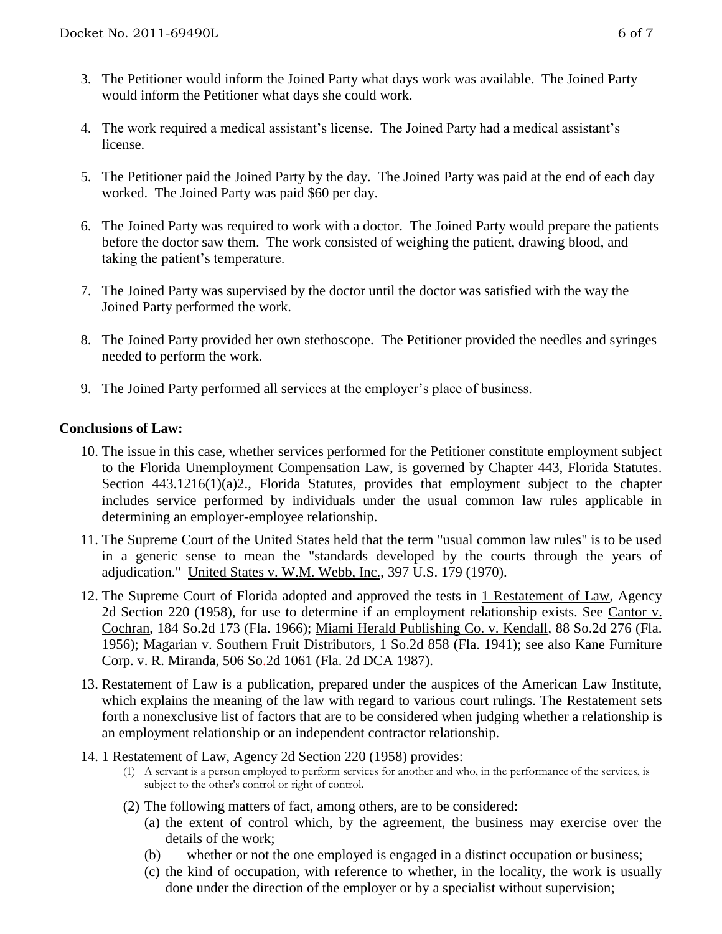- 3. The Petitioner would inform the Joined Party what days work was available. The Joined Party would inform the Petitioner what days she could work.
- 4. The work required a medical assistant's license. The Joined Party had a medical assistant's license.
- 5. The Petitioner paid the Joined Party by the day. The Joined Party was paid at the end of each day worked. The Joined Party was paid \$60 per day.
- 6. The Joined Party was required to work with a doctor. The Joined Party would prepare the patients before the doctor saw them. The work consisted of weighing the patient, drawing blood, and taking the patient's temperature.
- 7. The Joined Party was supervised by the doctor until the doctor was satisfied with the way the Joined Party performed the work.
- 8. The Joined Party provided her own stethoscope. The Petitioner provided the needles and syringes needed to perform the work.
- 9. The Joined Party performed all services at the employer's place of business.

## **Conclusions of Law:**

- 10. The issue in this case, whether services performed for the Petitioner constitute employment subject to the Florida Unemployment Compensation Law, is governed by Chapter 443, Florida Statutes. Section 443.1216(1)(a)2., Florida Statutes, provides that employment subject to the chapter includes service performed by individuals under the usual common law rules applicable in determining an employer-employee relationship.
- 11. The Supreme Court of the United States held that the term "usual common law rules" is to be used in a generic sense to mean the "standards developed by the courts through the years of adjudication." United States v. W.M. Webb, Inc., 397 U.S. 179 (1970).
- 12. The Supreme Court of Florida adopted and approved the tests in 1 Restatement of Law, Agency 2d Section 220 (1958), for use to determine if an employment relationship exists. See Cantor v. Cochran, 184 So.2d 173 (Fla. 1966); Miami Herald Publishing Co. v. Kendall, 88 So.2d 276 (Fla. 1956); Magarian v. Southern Fruit Distributors, 1 So.2d 858 (Fla. 1941); see also Kane Furniture Corp. v. R. Miranda, 506 So.2d 1061 (Fla. 2d DCA 1987).
- 13. Restatement of Law is a publication, prepared under the auspices of the American Law Institute, which explains the meaning of the law with regard to various court rulings. The Restatement sets forth a nonexclusive list of factors that are to be considered when judging whether a relationship is an employment relationship or an independent contractor relationship.
- 14. 1 Restatement of Law, Agency 2d Section 220 (1958) provides:
	- (1) A servant is a person employed to perform services for another and who, in the performance of the services, is subject to the other's control or right of control.
	- (2) The following matters of fact, among others, are to be considered:
		- (a) the extent of control which, by the agreement, the business may exercise over the details of the work;
		- (b) whether or not the one employed is engaged in a distinct occupation or business;
		- (c) the kind of occupation, with reference to whether, in the locality, the work is usually done under the direction of the employer or by a specialist without supervision;